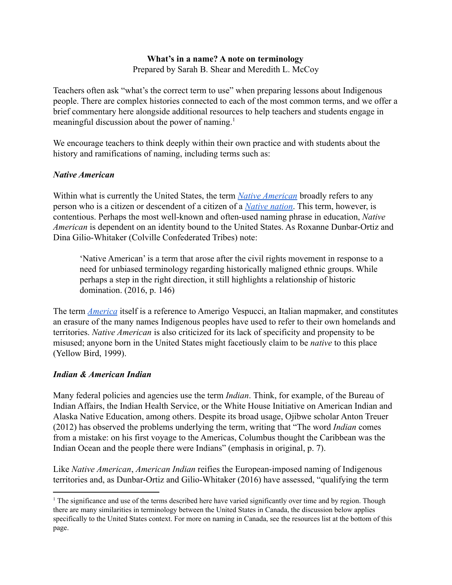### **What's in a name? A note on terminology** Prepared by Sarah B. Shear and Meredith L. McCoy

Teachers often ask "what's the correct term to use" when preparing lessons about Indigenous people. There are complex histories connected to each of the most common terms, and we offer a brief commentary here alongside additional resources to help teachers and students engage in meaningful discussion about the power of naming.<sup>1</sup>

We encourage teachers to think deeply within their own practice and with students about the history and ramifications of naming, including terms such as:

### *Native American*

Within what is currently the United States, the term *[Native American](https://www.narf.org/frequently-asked-questions/)* broadly refers to any person who is a citizen or descendent of a citizen of a *[Native nation](http://www.ncai.org/about-tribes)*. This term, however, is contentious. Perhaps the most well-known and often-used naming phrase in education, *Native American* is dependent on an identity bound to the United States. As Roxanne Dunbar-Ortiz and Dina Gilio-Whitaker (Colville Confederated Tribes) note:

'Native American' is a term that arose after the civil rights movement in response to a need for unbiased terminology regarding historically maligned ethnic groups. While perhaps a step in the right direction, it still highlights a relationship of historic domination. (2016, p. 146)

The term *[America](https://www.loc.gov/wiseguide/aug03/america.html)* itself is a reference to Amerigo Vespucci, an Italian mapmaker, and constitutes an erasure of the many names Indigenous peoples have used to refer to their own homelands and territories. *Native American* is also criticized for its lack of specificity and propensity to be misused; anyone born in the United States might facetiously claim to be *native* to this place (Yellow Bird, 1999).

### *Indian & American Indian*

Many federal policies and agencies use the term *Indian*. Think, for example, of the Bureau of Indian Affairs, the Indian Health Service, or the White House Initiative on American Indian and Alaska Native Education, among others. Despite its broad usage, Ojibwe scholar Anton Treuer (2012) has observed the problems underlying the term, writing that "The word *Indian* comes from a mistake: on his first voyage to the Americas, Columbus thought the Caribbean was the Indian Ocean and the people there were Indians" (emphasis in original, p. 7).

Like *Native American*, *American Indian* reifies the European-imposed naming of Indigenous territories and, as Dunbar-Ortiz and Gilio-Whitaker (2016) have assessed, "qualifying the term

<sup>&</sup>lt;sup>1</sup> The significance and use of the terms described here have varied significantly over time and by region. Though there are many similarities in terminology between the United States in Canada, the discussion below applies specifically to the United States context. For more on naming in Canada, see the resources list at the bottom of this page.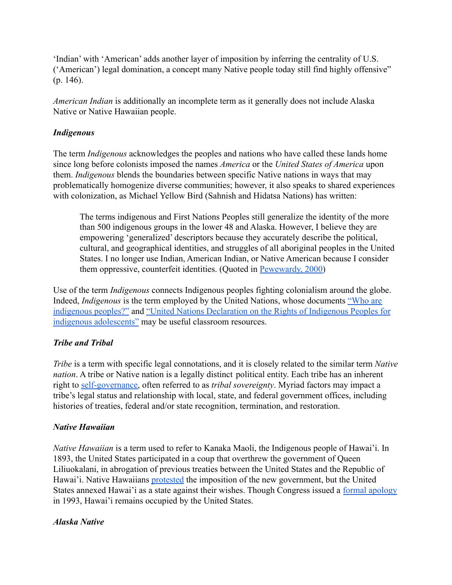'Indian' with 'American' adds another layer of imposition by inferring the centrality of U.S. ('American') legal domination, a concept many Native people today still find highly offensive" (p. 146).

*American Indian* is additionally an incomplete term as it generally does not include Alaska Native or Native Hawaiian people.

### *Indigenous*

The term *Indigenous* acknowledges the peoples and nations who have called these lands home since long before colonists imposed the names *America* or the *United States of America* upon them. *Indigenous* blends the boundaries between specific Native nations in ways that may problematically homogenize diverse communities; however, it also speaks to shared experiences with colonization, as Michael Yellow Bird (Sahnish and Hidatsa Nations) has written:

The terms indigenous and First Nations Peoples still generalize the identity of the more than 500 indigenous groups in the lower 48 and Alaska. However, I believe they are empowering 'generalized' descriptors because they accurately describe the political, cultural, and geographical identities, and struggles of all aboriginal peoples in the United States. I no longer use Indian, American Indian, or Native American because I consider them oppressive, counterfeit identities. (Quoted in [Pewewardy, 2000](http://www.hanksville.org/storytellers/pewe/writing/Rename.html))

Use of the term *Indigenous* connects Indigenous peoples fighting colonialism around the globe. Indeed, *Indigenous* is the term employed by the United Nations, whose documents ["Who are](https://www.un.org/esa/socdev/unpfii/documents/5session_factsheet1.pdf) [indigenous peoples?"](https://www.un.org/esa/socdev/unpfii/documents/5session_factsheet1.pdf) and "United Nations Declaration [on the Rights of Indigenous Peoples for](http://files.unicef.org/policyanalysis/rights/files/HRBAP_UN_Rights_Indig_Peoples.pdf) [indigenous adolescents"](http://files.unicef.org/policyanalysis/rights/files/HRBAP_UN_Rights_Indig_Peoples.pdf) may be useful classroom resources.

# *Tribe and Tribal*

*Tribe* is a term with specific legal connotations, and it is closely related to the similar term *Native nation*. A tribe or Native nation is a legally distinct political entity. Each tribe has an inherent right to [self-governance,](http://www.ncai.org/policy-issues/tribal-governance) often referred to as *tribal sovereignty*. Myriad factors may impact a tribe's legal status and relationship with local, state, and federal government offices, including histories of treaties, federal and/or state recognition, termination, and restoration.

# *Native Hawaiian*

*Native Hawaiian* is a term used to refer to Kanaka Maoli, the Indigenous people of Hawai'i. In 1893, the United States participated in a coup that overthrew the government of Queen Liliuokalani, in abrogation of previous treaties between the United States and the Republic of Hawai'i. Native Hawaiians [protested](https://www.archives.gov/education/lessons/hawaii-petition) the imposition of the new government, but the United States annexed Hawai'i as a state against their wishes. Though Congress issued a [formal apology](https://www.govinfo.gov/content/pkg/STATUTE-107/pdf/STATUTE-107-Pg1510.pdf) in 1993, Hawai'i remains occupied by the United States.

# *Alaska Native*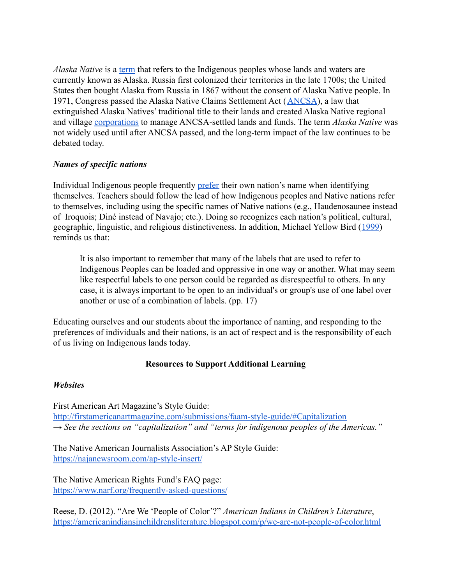*Alaska Native* is a [term](https://www.uaa.alaska.edu/alaska-natives/aknativefacts.cshtml) that refers to the Indigenous peoples whose lands and waters are currently known as Alaska. Russia first colonized their territories in the late 1700s; the United States then bought Alaska from Russia in 1867 without the consent of Alaska Native people. In 1971, Congress passed the Alaska Native Claims Settlement Act ([ANCSA\)](http://www.alaskool.org/projects/ancsa/annancsa.htm), a law that extinguished Alaska Natives' traditional title to their lands and created Alaska Native regional and village [corporations](http://www.ncai.org/tribal-directory/alaska-native-corporations) to manage ANCSA-settled lands and funds. The term *Alaska Native* was not widely used until after ANCSA passed, and the long-term impact of the law continues to be debated today.

### *Names of specific nations*

Individual Indigenous people frequently [prefer](https://newsmaven.io/indiancountrytoday/archive/native-american-vs-indian-_llUK00r1EionG_T5_LgRA/) their own nation's name when identifying themselves. Teachers should follow the lead of how Indigenous peoples and Native nations refer to themselves, including using the specific names of Native nations (e.g., Haudenosaunee instead of Iroquois; Diné instead of Navajo; etc.). Doing so recognizes each nation's political, cultural, geographic, linguistic, and religious distinctiveness. In addition, Michael Yellow Bird ([1999](https://www.jstor.org/stable/1185964?seq=1#metadata_info_tab_contents)) reminds us that:

It is also important to remember that many of the labels that are used to refer to Indigenous Peoples can be loaded and oppressive in one way or another. What may seem like respectful labels to one person could be regarded as disrespectful to others. In any case, it is always important to be open to an individual's or group's use of one label over another or use of a combination of labels. (pp. 17)

Educating ourselves and our students about the importance of naming, and responding to the preferences of individuals and their nations, is an act of respect and is the responsibility of each of us living on Indigenous lands today.

### **Resources to Support Additional Learning**

### *Websites*

First American Art Magazine's Style Guide: <http://firstamericanartmagazine.com/submissions/faam-style-guide/#Capitalization> *→ See the sections on "capitalization" and "terms for indigenous peoples of the Americas."*

The Native American Journalists Association's AP Style Guide: <https://najanewsroom.com/ap-style-insert/>

The Native American Rights Fund's FAQ page: <https://www.narf.org/frequently-asked-questions/>

Reese, D. (2012). "Are We 'People of Color'?" *American Indians in Children's Literature*, <https://americanindiansinchildrensliterature.blogspot.com/p/we-are-not-people-of-color.html>